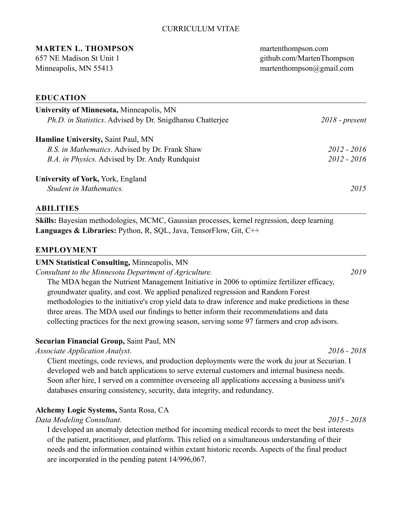## CURRICULUM VITAE

# **MARTEN L. THOMPSON** martenthompson.com

657 NE Madison St Unit 1 [github.com/MartenThompson](http://github.com/MartenThompson)  Minneapolis, MN 55413 martenthompson@gmail.com

#### **EDUCATION**

| University of Minnesota, Minneapolis, MN<br><i>Ph.D. in Statistics.</i> Advised by Dr. Snigdhansu Chatterjee | $2018$ - present |
|--------------------------------------------------------------------------------------------------------------|------------------|
| <b>Hamline University, Saint Paul, MN</b>                                                                    |                  |
| B.S. in Mathematics. Advised by Dr. Frank Shaw                                                               | $2012 - 2016$    |
| <i>B.A. in Physics.</i> Advised by Dr. Andy Rundquist                                                        | $2012 - 2016$    |
| University of York, York, England                                                                            |                  |
| <b>Student in Mathematics.</b>                                                                               | 2015             |

#### **ABILITIES**

**Skills:** Bayesian methodologies, MCMC, Gaussian processes, kernel regression, deep learning **Languages & Libraries:** Python, R, SQL, Java, TensorFlow, Git, C++

#### **EMPLOYMENT**

#### **UMN Statistical Consulting,** Minneapolis, MN

*Consultant to the Minnesota Department of Agriculture. 2019* 

The MDA began the Nutrient Management Initiative in 2006 to optimize fertilizer efficacy, groundwater quality, and cost. We applied penalized regression and Random Forest methodologies to the initiative's crop yield data to draw inference and make predictions in these three areas. The MDA used our findings to better inform their recommendations and data collecting practices for the next growing season, serving some 97 farmers and crop advisors.

#### **Securian Financial Group,** Saint Paul, MN

## *Associate Application Analyst*. *2016 - 2018*

Client meetings, code reviews, and production deployments were the work du jour at Securian. I developed web and batch applications to serve external customers and internal business needs. Soon after hire, I served on a committee overseeing all applications accessing a business unit's databases ensuring consistency, security, data integrity, and redundancy.

## **Alchemy Logic Systems,** Santa Rosa, CA

## *Data Modeling Consultant. 2015 - 2018*

I developed an anomaly detection method for incoming medical records to meet the best interests of the patient, practitioner, and platform. This relied on a simultaneous understanding of their needs and the information contained within extant historic records. Aspects of the final product are incorporated in the pending patent 14/996,067.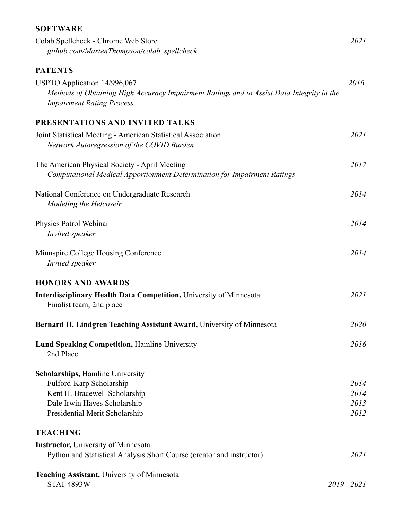# **SOFTWARE**

| Colab Spellcheck - Chrome Web Store<br>github.com/MartenThompson/colab spellcheck                                                                              | 2021          |
|----------------------------------------------------------------------------------------------------------------------------------------------------------------|---------------|
| <b>PATENTS</b>                                                                                                                                                 |               |
| USPTO Application 14/996,067<br>Methods of Obtaining High Accuracy Impairment Ratings and to Assist Data Integrity in the<br><b>Impairment Rating Process.</b> | 2016          |
| PRESENTATIONS AND INVITED TALKS                                                                                                                                |               |
| Joint Statistical Meeting - American Statistical Association<br>Network Autoregression of the COVID Burden                                                     | 2021          |
| The American Physical Society - April Meeting<br>Computational Medical Apportionment Determination for Impairment Ratings                                      | 2017          |
| National Conference on Undergraduate Research<br>Modeling the Helcoseir                                                                                        | 2014          |
| Physics Patrol Webinar<br>Invited speaker                                                                                                                      | 2014          |
| Minnspire College Housing Conference<br>Invited speaker                                                                                                        | 2014          |
| <b>HONORS AND AWARDS</b>                                                                                                                                       |               |
| <b>Interdisciplinary Health Data Competition, University of Minnesota</b><br>Finalist team, 2nd place                                                          | 2021          |
| Bernard H. Lindgren Teaching Assistant Award, University of Minnesota                                                                                          | 2020          |
| <b>Lund Speaking Competition, Hamline University</b><br>2nd Place                                                                                              | 2016          |
| <b>Scholarships, Hamline University</b>                                                                                                                        |               |
| Fulford-Karp Scholarship                                                                                                                                       | 2014          |
| Kent H. Bracewell Scholarship                                                                                                                                  | 2014          |
| Dale Irwin Hayes Scholarship<br>Presidential Merit Scholarship                                                                                                 | 2013<br>2012  |
| <b>TEACHING</b>                                                                                                                                                |               |
| <b>Instructor, University of Minnesota</b>                                                                                                                     |               |
| Python and Statistical Analysis Short Course (creator and instructor)                                                                                          | 2021          |
| <b>Teaching Assistant, University of Minnesota</b><br><b>STAT 4893W</b>                                                                                        | $2019 - 2021$ |